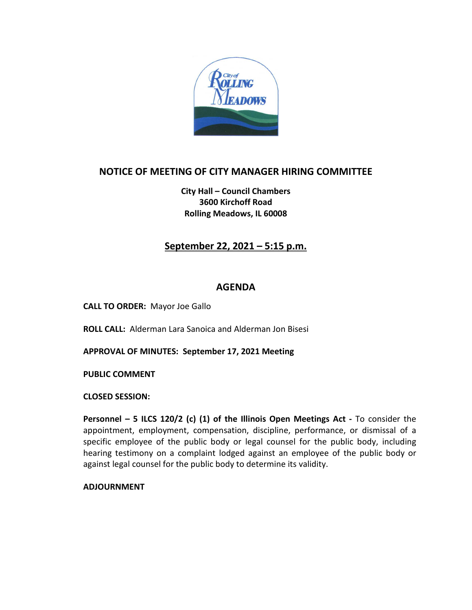

# **NOTICE OF MEETING OF CITY MANAGER HIRING COMMITTEE**

**City Hall – Council Chambers 3600 Kirchoff Road Rolling Meadows, IL 60008**

# **September 22, 2021 – 5:15 p.m.**

#### **AGENDA**

**CALL TO ORDER:** Mayor Joe Gallo

**ROLL CALL:** Alderman Lara Sanoica and Alderman Jon Bisesi

**APPROVAL OF MINUTES: September 17, 2021 Meeting**

**PUBLIC COMMENT** 

**CLOSED SESSION:**

**Personnel – 5 ILCS 120/2 (c) (1) of the Illinois Open Meetings Act -** To consider the appointment, employment, compensation, discipline, performance, or dismissal of a specific employee of the public body or legal counsel for the public body, including hearing testimony on a complaint lodged against an employee of the public body or against legal counsel for the public body to determine its validity.

**ADJOURNMENT**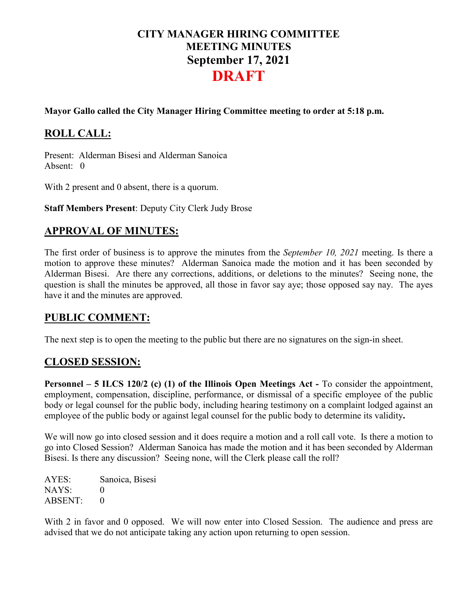# **CITY MANAGER HIRING COMMITTEE MEETING MINUTES September 17, 2021 DRAFT**

#### **Mayor Gallo called the City Manager Hiring Committee meeting to order at 5:18 p.m.**

# **ROLL CALL:**

Present: Alderman Bisesi and Alderman Sanoica Absent: 0

With 2 present and 0 absent, there is a quorum.

**Staff Members Present**: Deputy City Clerk Judy Brose

### **APPROVAL OF MINUTES:**

The first order of business is to approve the minutes from the *September 10, 2021* meeting. Is there a motion to approve these minutes? Alderman Sanoica made the motion and it has been seconded by Alderman Bisesi. Are there any corrections, additions, or deletions to the minutes? Seeing none, the question is shall the minutes be approved, all those in favor say aye; those opposed say nay. The ayes have it and the minutes are approved.

#### **PUBLIC COMMENT:**

The next step is to open the meeting to the public but there are no signatures on the sign-in sheet.

#### **CLOSED SESSION:**

**Personnel – 5 ILCS 120/2 (c) (1) of the Illinois Open Meetings Act -** To consider the appointment, employment, compensation, discipline, performance, or dismissal of a specific employee of the public body or legal counsel for the public body, including hearing testimony on a complaint lodged against an employee of the public body or against legal counsel for the public body to determine its validity**.**

We will now go into closed session and it does require a motion and a roll call vote. Is there a motion to go into Closed Session? Alderman Sanoica has made the motion and it has been seconded by Alderman Bisesi. Is there any discussion? Seeing none, will the Clerk please call the roll?

AYES: Sanoica, Bisesi NAYS: 0 ABSENT: 0

With 2 in favor and 0 opposed. We will now enter into Closed Session. The audience and press are advised that we do not anticipate taking any action upon returning to open session.